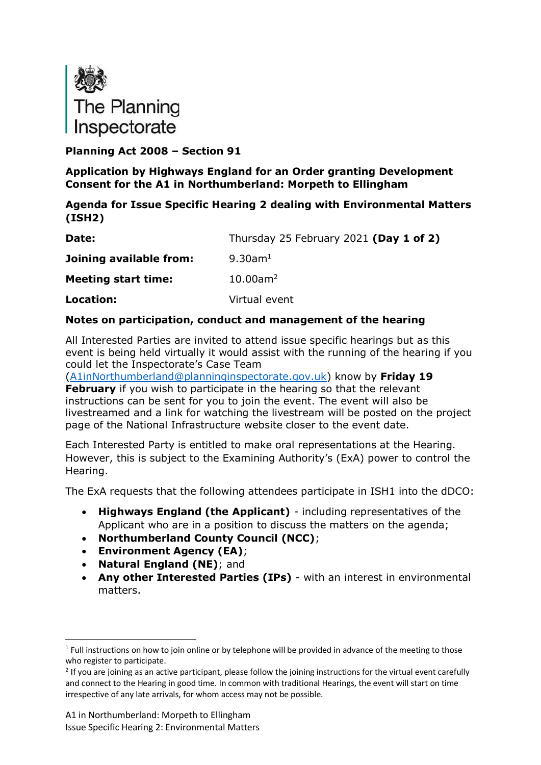

**Planning Act 2008 – Section 91**

**Application by Highways England for an Order granting Development Consent for the A1 in Northumberland: Morpeth to Ellingham**

### **Agenda for Issue Specific Hearing 2 dealing with Environmental Matters (ISH2)**

| Date:                      | Thursday 25 February 2021 (Day 1 of 2) |
|----------------------------|----------------------------------------|
| Joining available from:    | $9.30$ am <sup>1</sup>                 |
| <b>Meeting start time:</b> | $10.00$ am <sup>2</sup>                |
| Location:                  | Virtual event                          |

### **Notes on participation, conduct and management of the hearing**

All Interested Parties are invited to attend issue specific hearings but as this event is being held virtually it would assist with the running of the hearing if you could let the Inspectorate's Case Team

[\(A1inNorthumberland@planninginspectorate.gov.uk\)](mailto:A1inNorthumberland@planninginspectorate.gov.uk) know by **Friday 19 February** if you wish to participate in the hearing so that the relevant instructions can be sent for you to join the event. The event will also be livestreamed and a link for watching the livestream will be posted on the project page of the National Infrastructure website closer to the event date.

Each Interested Party is entitled to make oral representations at the Hearing. However, this is subject to the Examining Authority's (ExA) power to control the Hearing.

The ExA requests that the following attendees participate in ISH1 into the dDCO:

- **Highways England (the Applicant)** including representatives of the Applicant who are in a position to discuss the matters on the agenda;
- **Northumberland County Council (NCC)**;
- **Environment Agency (EA)**;
- **Natural England (NE)**; and
- **Any other Interested Parties (IPs)** with an interest in environmental matters.

 $1$  Full instructions on how to join online or by telephone will be provided in advance of the meeting to those who register to participate.

 $2$  If you are joining as an active participant, please follow the joining instructions for the virtual event carefully and connect to the Hearing in good time. In common with traditional Hearings, the event will start on time irrespective of any late arrivals, for whom access may not be possible.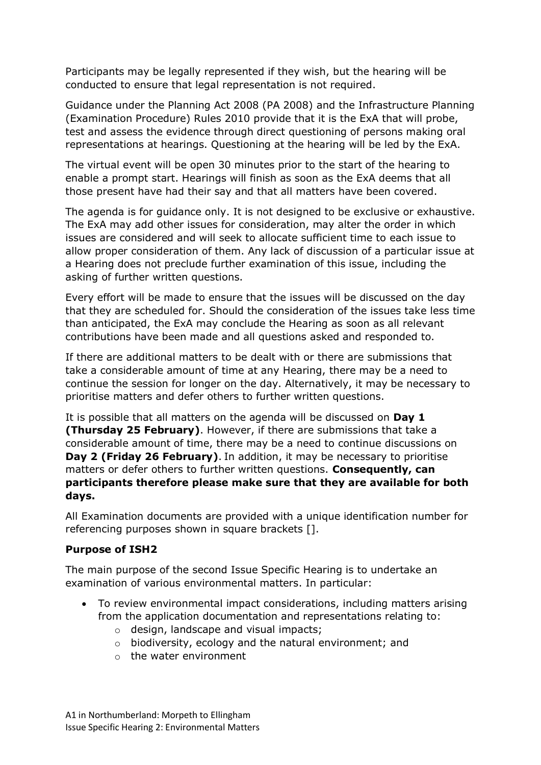Participants may be legally represented if they wish, but the hearing will be conducted to ensure that legal representation is not required.

Guidance under the Planning Act 2008 (PA 2008) and the Infrastructure Planning (Examination Procedure) Rules 2010 provide that it is the ExA that will probe, test and assess the evidence through direct questioning of persons making oral representations at hearings. Questioning at the hearing will be led by the ExA.

The virtual event will be open 30 minutes prior to the start of the hearing to enable a prompt start. Hearings will finish as soon as the ExA deems that all those present have had their say and that all matters have been covered.

The agenda is for guidance only. It is not designed to be exclusive or exhaustive. The ExA may add other issues for consideration, may alter the order in which issues are considered and will seek to allocate sufficient time to each issue to allow proper consideration of them. Any lack of discussion of a particular issue at a Hearing does not preclude further examination of this issue, including the asking of further written questions.

Every effort will be made to ensure that the issues will be discussed on the day that they are scheduled for. Should the consideration of the issues take less time than anticipated, the ExA may conclude the Hearing as soon as all relevant contributions have been made and all questions asked and responded to.

If there are additional matters to be dealt with or there are submissions that take a considerable amount of time at any Hearing, there may be a need to continue the session for longer on the day. Alternatively, it may be necessary to prioritise matters and defer others to further written questions.

It is possible that all matters on the agenda will be discussed on **Day 1 (Thursday 25 February)**. However, if there are submissions that take a considerable amount of time, there may be a need to continue discussions on **Day 2 (Friday 26 February)**. In addition, it may be necessary to prioritise matters or defer others to further written questions. **Consequently, can participants therefore please make sure that they are available for both days.**

All Examination documents are provided with a unique identification number for referencing purposes shown in square brackets [].

#### **Purpose of ISH2**

The main purpose of the second Issue Specific Hearing is to undertake an examination of various environmental matters. In particular:

- To review environmental impact considerations, including matters arising from the application documentation and representations relating to:
	- o design, landscape and visual impacts;
	- o biodiversity, ecology and the natural environment; and
	- $\circ$  the water environment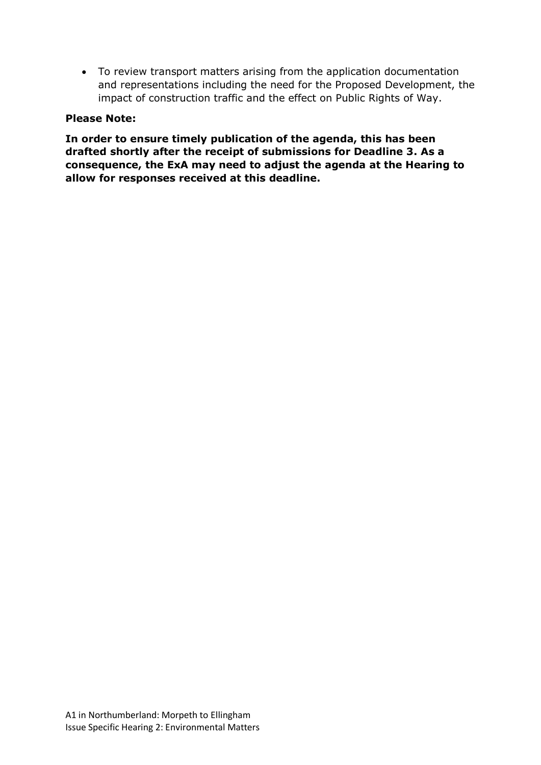• To review transport matters arising from the application documentation and representations including the need for the Proposed Development, the impact of construction traffic and the effect on Public Rights of Way.

#### **Please Note:**

**In order to ensure timely publication of the agenda, this has been drafted shortly after the receipt of submissions for Deadline 3. As a consequence, the ExA may need to adjust the agenda at the Hearing to allow for responses received at this deadline.**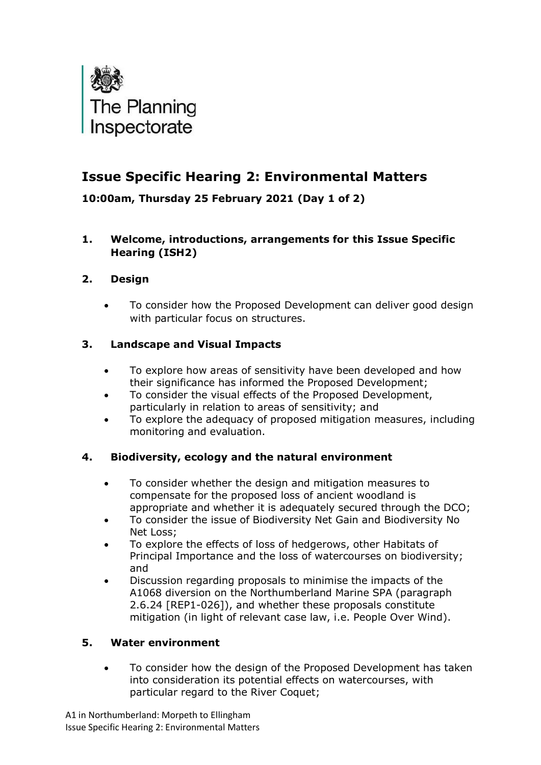

# **Issue Specific Hearing 2: Environmental Matters**

**10:00am, Thursday 25 February 2021 (Day 1 of 2)**

### **1. Welcome, introductions, arrangements for this Issue Specific Hearing (ISH2)**

# **2. Design**

• To consider how the Proposed Development can deliver good design with particular focus on structures.

# **3. Landscape and Visual Impacts**

- To explore how areas of sensitivity have been developed and how their significance has informed the Proposed Development;
- To consider the visual effects of the Proposed Development, particularly in relation to areas of sensitivity; and
- To explore the adequacy of proposed mitigation measures, including monitoring and evaluation.

# **4. Biodiversity, ecology and the natural environment**

- To consider whether the design and mitigation measures to compensate for the proposed loss of ancient woodland is appropriate and whether it is adequately secured through the DCO;
- To consider the issue of Biodiversity Net Gain and Biodiversity No Net Loss;
- To explore the effects of loss of hedgerows, other Habitats of Principal Importance and the loss of watercourses on biodiversity; and
- Discussion regarding proposals to minimise the impacts of the A1068 diversion on the Northumberland Marine SPA (paragraph 2.6.24 [REP1-026]), and whether these proposals constitute mitigation (in light of relevant case law, i.e. People Over Wind).

### **5. Water environment**

• To consider how the design of the Proposed Development has taken into consideration its potential effects on watercourses, with particular regard to the River Coquet;

A1 in Northumberland: Morpeth to Ellingham Issue Specific Hearing 2: Environmental Matters